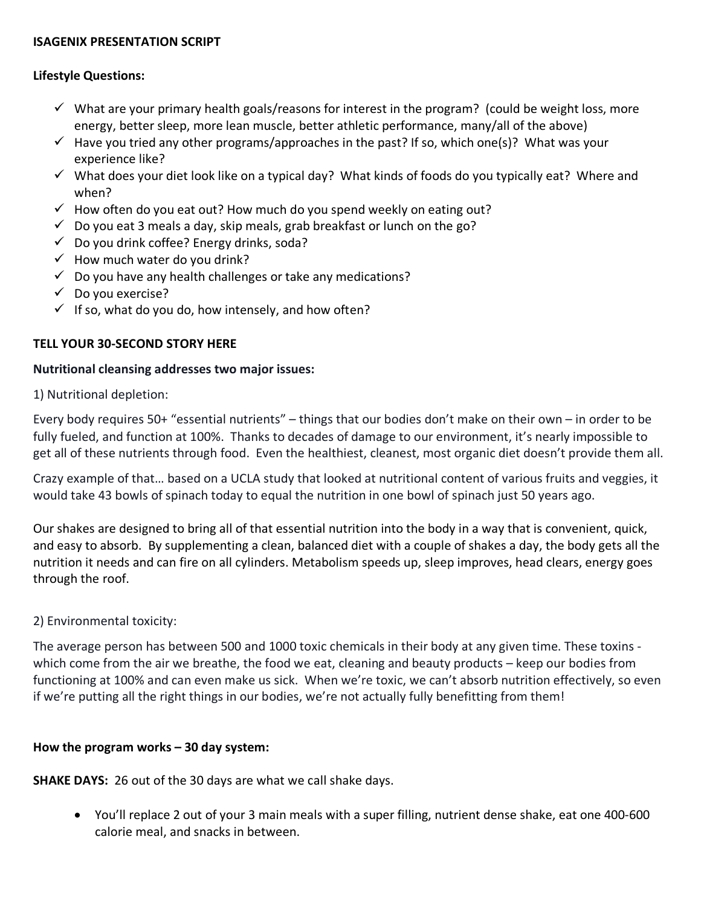#### **ISAGENIX PRESENTATION SCRIPT**

### **Lifestyle Questions:**

- $\checkmark$  What are your primary health goals/reasons for interest in the program? (could be weight loss, more energy, better sleep, more lean muscle, better athletic performance, many/all of the above)
- $\checkmark$  Have you tried any other programs/approaches in the past? If so, which one(s)? What was your experience like?
- $\checkmark$  What does your diet look like on a typical day? What kinds of foods do you typically eat? Where and when?
- $\checkmark$  How often do you eat out? How much do you spend weekly on eating out?
- $\checkmark$  Do you eat 3 meals a day, skip meals, grab breakfast or lunch on the go?
- $\checkmark$  Do you drink coffee? Energy drinks, soda?
- $\checkmark$  How much water do you drink?
- $\checkmark$  Do you have any health challenges or take any medications?
- $\checkmark$  Do you exercise?
- $\checkmark$  If so, what do you do, how intensely, and how often?

### **TELL YOUR 30-SECOND STORY HERE**

#### **Nutritional cleansing addresses two major issues:**

1) Nutritional depletion:

Every body requires 50+ "essential nutrients" – things that our bodies don't make on their own – in order to be fully fueled, and function at 100%. Thanks to decades of damage to our environment, it's nearly impossible to get all of these nutrients through food. Even the healthiest, cleanest, most organic diet doesn't provide them all.

Crazy example of that… based on a UCLA study that looked at nutritional content of various fruits and veggies, it would take 43 bowls of spinach today to equal the nutrition in one bowl of spinach just 50 years ago.

Our shakes are designed to bring all of that essential nutrition into the body in a way that is convenient, quick, and easy to absorb. By supplementing a clean, balanced diet with a couple of shakes a day, the body gets all the nutrition it needs and can fire on all cylinders. Metabolism speeds up, sleep improves, head clears, energy goes through the roof.

### 2) Environmental toxicity:

The average person has between 500 and 1000 toxic chemicals in their body at any given time. These toxins which come from the air we breathe, the food we eat, cleaning and beauty products – keep our bodies from functioning at 100% and can even make us sick. When we're toxic, we can't absorb nutrition effectively, so even if we're putting all the right things in our bodies, we're not actually fully benefitting from them!

### **How the program works – 30 day system:**

**SHAKE DAYS:** 26 out of the 30 days are what we call shake days.

• You'll replace 2 out of your 3 main meals with a super filling, nutrient dense shake, eat one 400-600 calorie meal, and snacks in between.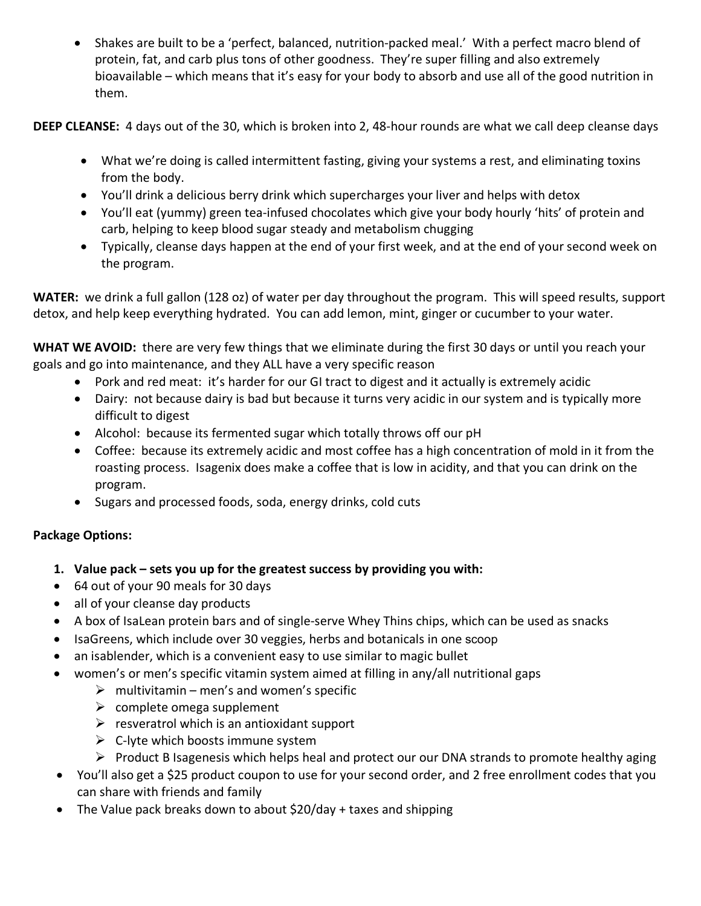• Shakes are built to be a 'perfect, balanced, nutrition-packed meal.' With a perfect macro blend of protein, fat, and carb plus tons of other goodness. They're super filling and also extremely bioavailable – which means that it's easy for your body to absorb and use all of the good nutrition in them.

**DEEP CLEANSE:** 4 days out of the 30, which is broken into 2, 48-hour rounds are what we call deep cleanse days

- What we're doing is called intermittent fasting, giving your systems a rest, and eliminating toxins from the body.
- You'll drink a delicious berry drink which supercharges your liver and helps with detox
- You'll eat (yummy) green tea-infused chocolates which give your body hourly 'hits' of protein and carb, helping to keep blood sugar steady and metabolism chugging
- Typically, cleanse days happen at the end of your first week, and at the end of your second week on the program.

**WATER:** we drink a full gallon (128 oz) of water per day throughout the program. This will speed results, support detox, and help keep everything hydrated. You can add lemon, mint, ginger or cucumber to your water.

**WHAT WE AVOID:** there are very few things that we eliminate during the first 30 days or until you reach your goals and go into maintenance, and they ALL have a very specific reason

- Pork and red meat: it's harder for our GI tract to digest and it actually is extremely acidic
- Dairy: not because dairy is bad but because it turns very acidic in our system and is typically more difficult to digest
- Alcohol: because its fermented sugar which totally throws off our pH
- Coffee: because its extremely acidic and most coffee has a high concentration of mold in it from the roasting process. Isagenix does make a coffee that is low in acidity, and that you can drink on the program.
- Sugars and processed foods, soda, energy drinks, cold cuts

# **Package Options:**

- **1. Value pack – sets you up for the greatest success by providing you with:**
- 64 out of your 90 meals for 30 days
- all of your cleanse day products
- A box of IsaLean protein bars and of single-serve Whey Thins chips, which can be used as snacks
- IsaGreens, which include over 30 veggies, herbs and botanicals in one scoop
- an isablender, which is a convenient easy to use similar to magic bullet
- women's or men's specific vitamin system aimed at filling in any/all nutritional gaps
	- $\triangleright$  multivitamin men's and women's specific
	- $\triangleright$  complete omega supplement
	- $\triangleright$  resveratrol which is an antioxidant support
	- $\triangleright$  C-lyte which boosts immune system
	- $\triangleright$  Product B Isagenesis which helps heal and protect our our DNA strands to promote healthy aging
- You'll also get a \$25 product coupon to use for your second order, and 2 free enrollment codes that you can share with friends and family
- The Value pack breaks down to about \$20/day + taxes and shipping